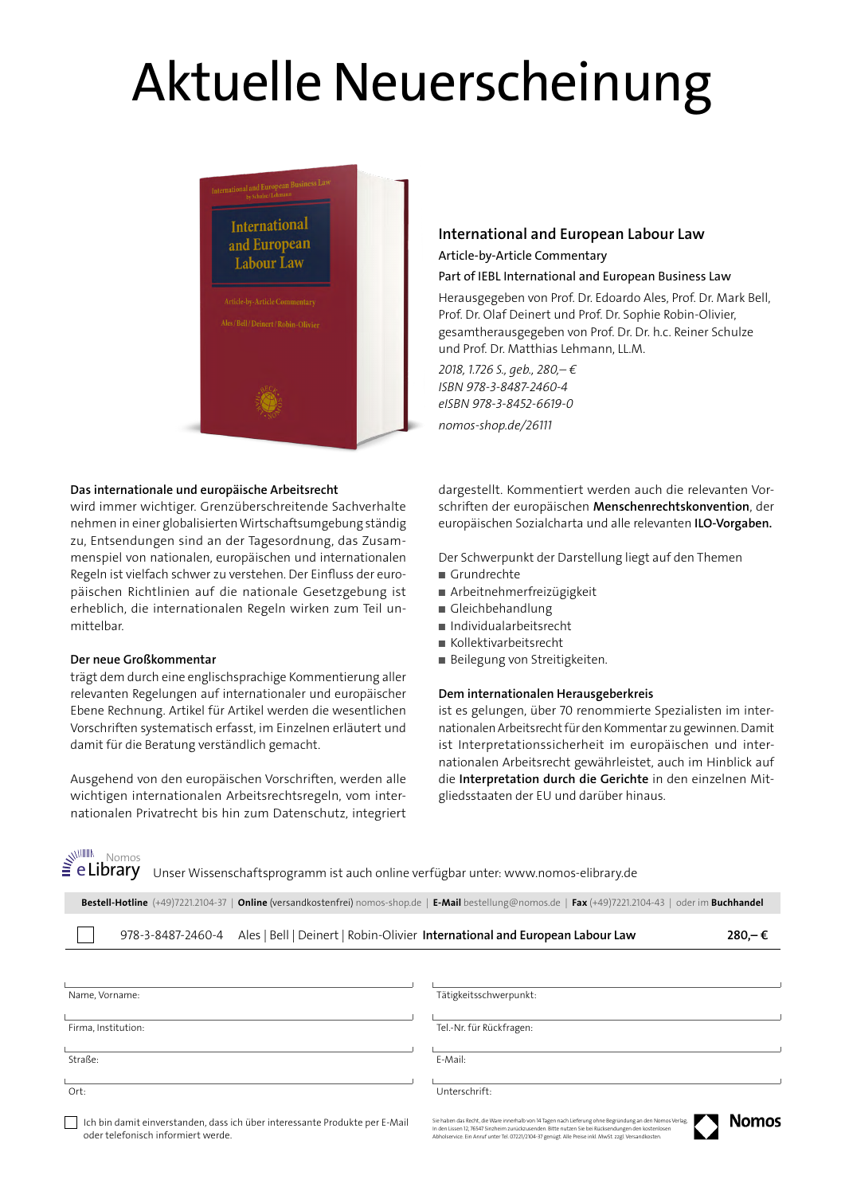# Aktuelle Neuerscheinung



#### **Das internationale und europäische Arbeitsrecht**

wird immer wichtiger. Grenzüberschreitende Sachverhalte nehmen in einer globalisierten Wirtschaftsumgebung ständig zu, Entsendungen sind an der Tagesordnung, das Zusammenspiel von nationalen, europäischen und internationalen Regeln ist vielfach schwer zu verstehen. Der Einfluss der europäischen Richtlinien auf die nationale Gesetzgebung ist erheblich, die internationalen Regeln wirken zum Teil unmittelbar.

## **Der neue Großkommentar**

trägt dem durch eine englischsprachige Kommentierung aller relevanten Regelungen auf internationaler und europäischer Ebene Rechnung. Artikel für Artikel werden die wesentlichen Vorschriften systematisch erfasst, im Einzelnen erläutert und damit für die Beratung verständlich gemacht.

Ausgehend von den europäischen Vorschriften, werden alle wichtigen internationalen Arbeitsrechtsregeln, vom internationalen Privatrecht bis hin zum Datenschutz, integriert

## **International and European Labour Law** Article-by-Article Commentary

## Part of IEBL International and European Business Law

Herausgegeben von Prof. Dr. Edoardo Ales, Prof. Dr. Mark Bell, Prof. Dr. Olaf Deinert und Prof. Dr. Sophie Robin-Olivier, gesamtherausgegeben von Prof. Dr. Dr. h.c. Reiner Schulze und Prof. Dr. Matthias Lehmann, LL.M.

*2018, 1.726 S., geb., 280,– € ISBN 978-3-8487-2460-4 eISBN 978-3-8452-6619-0 nomos-shop.de/26111*

dargestellt. Kommentiert werden auch die relevanten Vorschriften der europäischen **Menschenrechtskonvention**, der europäischen Sozialcharta und alle relevanten **ILO-Vorgaben.**

Der Schwerpunkt der Darstellung liegt auf den Themen

- Grundrechte
- Arbeitnehmerfreizügigkeit
- Gleichbehandlung
- Individualarbeitsrecht
- Kollektivarbeitsrecht
- Beilegung von Streitigkeiten.

### **Dem internationalen Herausgeberkreis**

ist es gelungen, über 70 renommierte Spezialisten im internationalen Arbeitsrecht für den Kommentar zu gewinnen. Damit ist Interpretationssicherheit im europäischen und internationalen Arbeitsrecht gewährleistet, auch im Hinblick auf die **Interpretation durch die Gerichte** in den einzelnen Mitgliedsstaaten der EU und darüber hinaus.

www. Nomos<br>**e Library** 

 $\Box$ 

Unser Wissenschaftsprogramm ist auch online verfügbar unter: www.nomos-elibrary.de

**Bestell-Hotline** (+49)7221.2104-37 | **Online** (versandkostenfrei) nomos-shop.de | **E-Mail** bestellung@nomos.de | **Fax** (+49)7221.2104-43 | oder im **Buchhandel**

| Ales   Bell   Deinert   Robin-Olivier International and European Labour Law<br>978-3-8487-2460-4               |                                                                                                          | $280 - \epsilon$ |
|----------------------------------------------------------------------------------------------------------------|----------------------------------------------------------------------------------------------------------|------------------|
|                                                                                                                |                                                                                                          |                  |
| Name, Vorname:                                                                                                 | Tätigkeitsschwerpunkt:                                                                                   |                  |
| Firma, Institution:                                                                                            | Tel.-Nr. für Rückfragen:                                                                                 |                  |
| Straße:                                                                                                        | E-Mail:                                                                                                  |                  |
| Ort:                                                                                                           | Unterschrift:                                                                                            |                  |
| التمالية والمستحدث والمرابيات ومستحدث ومعارفته والمستحدث والمتناقص والمستحدث والمستحدث والمستحاة والماري أوالت | Sie hoben das Recht, die Ware innerhalb von 14 Tagen nach Lieferung ohne Regründung an den Normos Verlag | <b>Nomoc</b>     |

| | Ich bin damit einverstanden, dass ich über interessante Produkte per E-Mail oder telefonisch informiert werde.

Sie haben das Recht, die Ware innerhalb von 14 Tagen nach Lieferung ohne Begründung an den Nomos Verlag.<br>In den Lissen 12, 76547 Sinzheim zurückzusenden. Bitte nutzen Sie bei Rücksendungen den kostenlosen<br>Abholservice. Ein